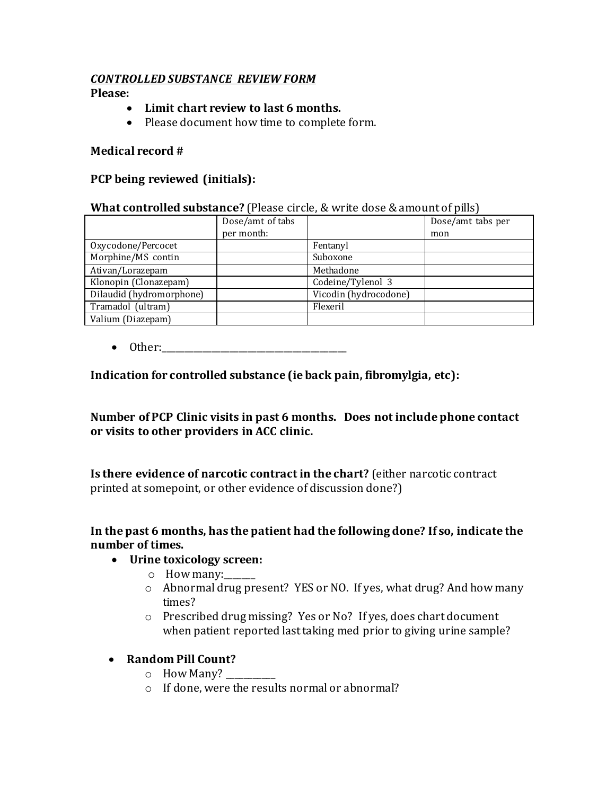### *CONTROLLED SUBSTANCE REVIEW FORM*

**Please:**

- **Limit chart review to last 6 months.**
- Please document how time to complete form.

#### **Medical record #**

#### **PCP being reviewed (initials):**

#### **What controlled substance?** (Please circle, & write dose & amount of pills)

|                          | Dose/amt of tabs |                       | Dose/amt tabs per |
|--------------------------|------------------|-----------------------|-------------------|
|                          | per month:       |                       | mon               |
| Oxycodone/Percocet       |                  | Fentanyl              |                   |
| Morphine/MS contin       |                  | Suboxone              |                   |
| Ativan/Lorazepam         |                  | Methadone             |                   |
| Klonopin (Clonazepam)    |                  | Codeine/Tylenol 3     |                   |
| Dilaudid (hydromorphone) |                  | Vicodin (hydrocodone) |                   |
| Tramadol (ultram)        |                  | Flexeril              |                   |
| Valium (Diazepam)        |                  |                       |                   |

 $\bullet$  Other:

### **Indication for controlled substance (ie back pain, fibromylgia, etc):**

**Number of PCP Clinic visits in past 6 months. Does not include phone contact or visits to other providers in ACC clinic.**

**Is there evidence of narcotic contract in the chart?** (either narcotic contract printed at somepoint, or other evidence of discussion done?)

### **In the past 6 months, has the patient had the following done? If so, indicate the number of times.**

#### **Urine toxicology screen:**

- $\circ$  How many:
- o Abnormal drug present? YES or NO. If yes, what drug? And how many times?
- o Prescribed drug missing? Yes or No? If yes, does chart document when patient reported last taking med prior to giving urine sample?

### **Random Pill Count?**

- o How Many? \_\_\_\_\_\_\_\_\_\_\_
- o If done, were the results normal or abnormal?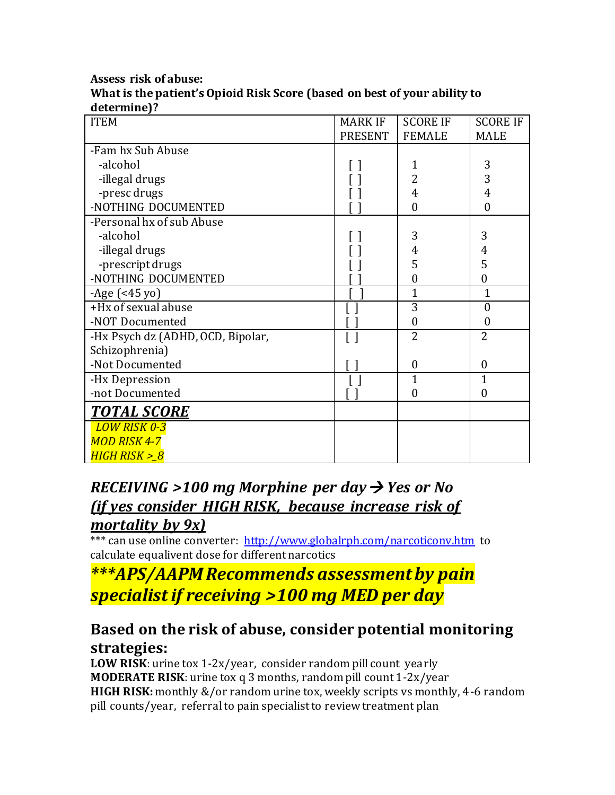#### **Assess risk of abuse: What is the patient's Opioid Risk Score (based on best of your ability to determine)?**

| uctermurej :<br><b>ITEM</b>       | <b>MARK IF</b> | <b>SCORE IF</b>  | <b>SCORE IF</b>  |
|-----------------------------------|----------------|------------------|------------------|
|                                   |                |                  |                  |
|                                   | <b>PRESENT</b> | <b>FEMALE</b>    | <b>MALE</b>      |
| -Fam hx Sub Abuse                 |                |                  |                  |
| -alcohol                          |                | 1                | 3                |
| -illegal drugs                    |                | $\overline{2}$   | 3                |
| -presc drugs                      |                | 4                | 4                |
| -NOTHING DOCUMENTED               |                | $\boldsymbol{0}$ | $\overline{0}$   |
| -Personal hx of sub Abuse         |                |                  |                  |
| -alcohol                          |                | 3                | 3                |
| -illegal drugs                    |                | 4                | 4                |
| -prescript drugs                  |                | 5                | 5                |
| -NOTHING DOCUMENTED               |                | $\boldsymbol{0}$ | $\boldsymbol{0}$ |
| $-Age$ (<45 yo)                   |                | $\mathbf{1}$     | $\mathbf{1}$     |
| +Hx of sexual abuse               |                | $\overline{3}$   | $\theta$         |
| -NOT Documented                   |                | $\boldsymbol{0}$ | $\boldsymbol{0}$ |
| -Hx Psych dz (ADHD, OCD, Bipolar, |                | $\overline{2}$   | $\overline{2}$   |
| Schizophrenia)                    |                |                  |                  |
| -Not Documented                   |                | $\boldsymbol{0}$ | $\overline{0}$   |
| -Hx Depression                    |                | $\overline{1}$   | $\overline{1}$   |
| -not Documented                   |                | $\overline{0}$   | $\theta$         |
| <b>TOTAL SCORE</b>                |                |                  |                  |
| <b>LOW RISK 0-3</b>               |                |                  |                  |
| <b>MOD RISK 4-7</b>               |                |                  |                  |
| HIGH RISK > 8                     |                |                  |                  |

# *RECEIVING >100 mg Morphine per day Yes or No (if yes consider HIGH RISK, because increase risk of mortality by 9x)*

\*\*\* can use online converter:<http://www.globalrph.com/narcoticonv.htm>to calculate equalivent dose for different narcotics

*\*\*\*APS/AAPM Recommends assessment by pain specialist if receiving >100 mg MED per day*

# **Based on the risk of abuse, consider potential monitoring strategies:**

**LOW RISK**: urine tox 1-2x/year, consider random pill count yearly **MODERATE RISK**: urine tox q 3 months, random pill count 1-2x/year **HIGH RISK:** monthly &/or random urine tox, weekly scripts vs monthly, 4-6 random pill counts/year, referral to pain specialist to review treatment plan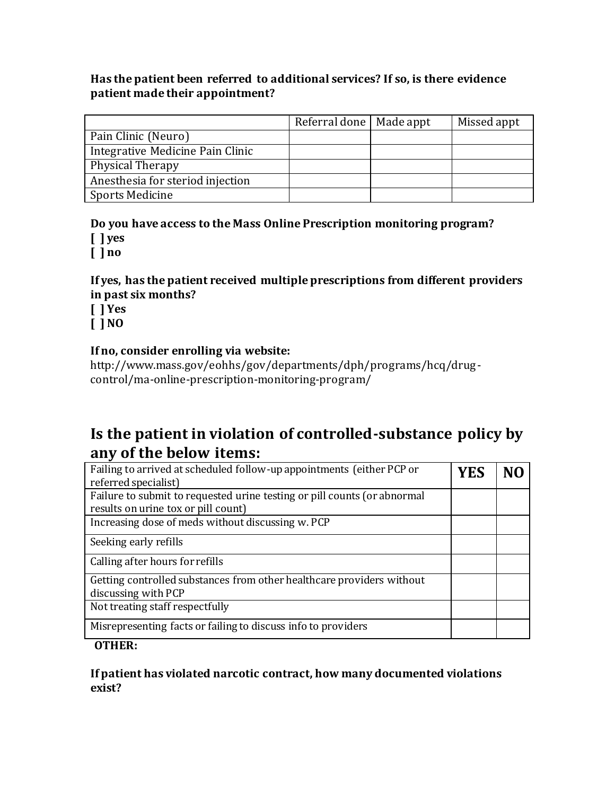## **Has the patient been referred to additional services? If so, is there evidence patient made their appointment?**

|                                  | Referral done   Made appt | Missed appt |
|----------------------------------|---------------------------|-------------|
| Pain Clinic (Neuro)              |                           |             |
| Integrative Medicine Pain Clinic |                           |             |
| Physical Therapy                 |                           |             |
| Anesthesia for steriod injection |                           |             |
| <b>Sports Medicine</b>           |                           |             |

#### **Do you have access to the Mass Online Prescription monitoring program? [ ] yes**

**[ ] no**

## **If yes, has the patient received multiple prescriptions from different providers in past six months?**

**[ ] Yes** 

**[ ] NO**

## **If no, consider enrolling via website:**

http://www.mass.gov/eohhs/gov/departments/dph/programs/hcq/drugcontrol/ma-online-prescription-monitoring-program/

# **Is the patient in violation of controlled-substance policy by any of the below items:**

| Failing to arrived at scheduled follow-up appointments (either PCP or    |  |  |
|--------------------------------------------------------------------------|--|--|
| referred specialist)                                                     |  |  |
| Failure to submit to requested urine testing or pill counts (or abnormal |  |  |
| results on urine tox or pill count)                                      |  |  |
| Increasing dose of meds without discussing w. PCP                        |  |  |
| Seeking early refills                                                    |  |  |
| Calling after hours for refills                                          |  |  |
| Getting controlled substances from other healthcare providers without    |  |  |
| discussing with PCP                                                      |  |  |
| Not treating staff respectfully                                          |  |  |
| Misrepresenting facts or failing to discuss info to providers            |  |  |

## **OTHER:**

## **If patient has violated narcotic contract, how many documented violations exist?**